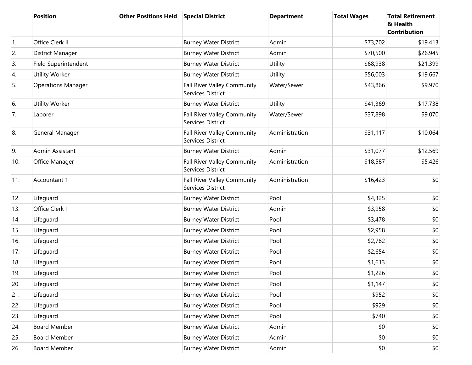|            | <b>Position</b>           | <b>Other Positions Held</b> | <b>Special District</b>                                 | <b>Department</b> | <b>Total Wages</b> | <b>Total Retirement</b><br>& Health<br><b>Contribution</b> |
|------------|---------------------------|-----------------------------|---------------------------------------------------------|-------------------|--------------------|------------------------------------------------------------|
| $\vert$ 1. | Office Clerk II           |                             | <b>Burney Water District</b>                            | Admin             | \$73,702           | \$19,413                                                   |
| 2.         | District Manager          |                             | <b>Burney Water District</b>                            | Admin             | \$70,500           | \$26,945                                                   |
| 3.         | Field Superintendent      |                             | <b>Burney Water District</b>                            | Utility           | \$68,938           | \$21,399                                                   |
| 4.         | Utility Worker            |                             | <b>Burney Water District</b>                            | Utility           | \$56,003           | \$19,667                                                   |
| 5.         | <b>Operations Manager</b> |                             | Fall River Valley Community<br>Services District        | Water/Sewer       | \$43,866           | \$9,970                                                    |
| 6.         | Utility Worker            |                             | <b>Burney Water District</b>                            | <b>Utility</b>    | \$41,369           | \$17,738                                                   |
| 7.         | Laborer                   |                             | <b>Fall River Valley Community</b><br>Services District | Water/Sewer       | \$37,898           | \$9,070                                                    |
| 8.         | General Manager           |                             | Fall River Valley Community<br>Services District        | Administration    | \$31,117           | \$10,064                                                   |
| 9.         | Admin Assistant           |                             | <b>Burney Water District</b>                            | Admin             | \$31,077           | \$12,569                                                   |
| 10.        | Office Manager            |                             | Fall River Valley Community<br>Services District        | Administration    | \$18,587           | \$5,426                                                    |
| 11.        | Accountant 1              |                             | <b>Fall River Valley Community</b><br>Services District | Administration    | \$16,423           | \$0                                                        |
| 12.        | Lifeguard                 |                             | <b>Burney Water District</b>                            | Pool              | \$4,325            | \$0                                                        |
| 13.        | Office Clerk I            |                             | <b>Burney Water District</b>                            | Admin             | \$3,958            | \$0                                                        |
| 14.        | Lifeguard                 |                             | <b>Burney Water District</b>                            | Pool              | \$3,478            | \$0                                                        |
| 15.        | Lifeguard                 |                             | <b>Burney Water District</b>                            | Pool              | \$2,958            | \$0                                                        |
| 16.        | Lifeguard                 |                             | <b>Burney Water District</b>                            | Pool              | \$2,782            | \$0                                                        |
| 17.        | Lifeguard                 |                             | <b>Burney Water District</b>                            | Pool              | \$2,654            | \$0                                                        |
| 18.        | Lifeguard                 |                             | <b>Burney Water District</b>                            | Pool              | \$1,613            | \$0                                                        |
| 19.        | Lifeguard                 |                             | <b>Burney Water District</b>                            | Pool              | \$1,226            | \$0                                                        |
| 20.        | Lifeguard                 |                             | <b>Burney Water District</b>                            | Pool              | \$1,147            | \$0                                                        |
| 21.        | Lifeguard                 |                             | <b>Burney Water District</b>                            | Pool              | \$952              | \$0                                                        |
| 22.        | Lifeguard                 |                             | <b>Burney Water District</b>                            | Pool              | \$929              | \$0                                                        |
| 23.        | Lifeguard                 |                             | <b>Burney Water District</b>                            | Pool              | \$740              | \$0                                                        |
| 24.        | <b>Board Member</b>       |                             | <b>Burney Water District</b>                            | Admin             | \$0                | \$0                                                        |
| 25.        | <b>Board Member</b>       |                             | <b>Burney Water District</b>                            | Admin             | \$0                | \$0                                                        |
| 26.        | <b>Board Member</b>       |                             | <b>Burney Water District</b>                            | Admin             | \$0                | \$0                                                        |